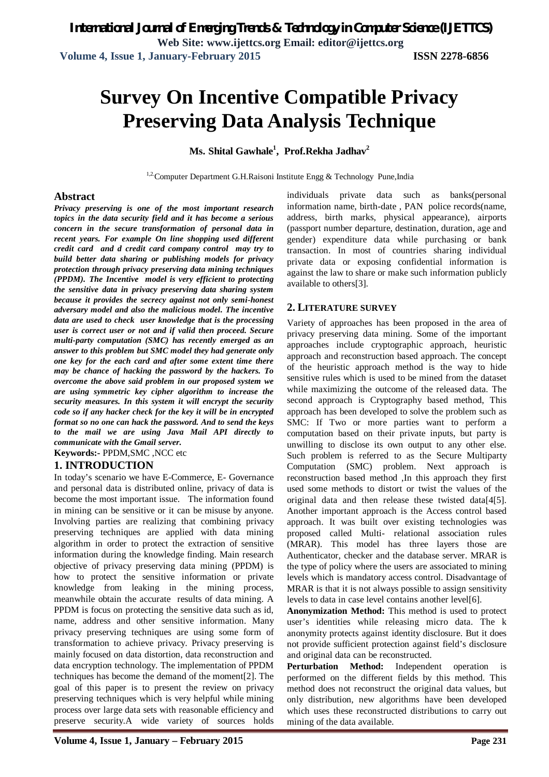# **Survey On Incentive Compatible Privacy Preserving Data Analysis Technique**

## **Ms. Shital Gawhale<sup>1</sup> , Prof.Rekha Jadhav<sup>2</sup>**

<sup>1,2</sup>Computer Department G.H.Raisoni Institute Engg & Technology Pune, India

## **Abstract**

*Privacy preserving is one of the most important research topics in the data security field and it has become a serious concern in the secure transformation of personal data in recent years. For example On line shopping used different credit card and d credit card company control may try to build better data sharing or publishing models for privacy protection through privacy preserving data mining techniques (PPDM). The Incentive model is very efficient to protecting the sensitive data in privacy preserving data sharing system because it provides the secrecy against not only semi-honest adversary model and also the malicious model. The incentive data are used to check user knowledge that is the processing user is correct user or not and if valid then proceed. Secure multi-party computation (SMC) has recently emerged as an answer to this problem but SMC model they had generate only one key for the each card and after some extent time there may be chance of hacking the password by the hackers. To overcome the above said problem in our proposed system we are using symmetric key cipher algorithm to increase the security measures. In this system it will encrypt the security code so if any hacker check for the key it will be in encrypted format so no one can hack the password. And to send the keys to the mail we are using Java Mail API directly to communicate with the Gmail server.*

**Keywords:-** PPDM,SMC ,NCC etc

## **1. INTRODUCTION**

In today's scenario we have E-Commerce, E- Governance and personal data is distributed online, privacy of data is become the most important issue. The information found in mining can be sensitive or it can be misuse by anyone. Involving parties are realizing that combining privacy preserving techniques are applied with data mining algorithm in order to protect the extraction of sensitive information during the knowledge finding. Main research objective of privacy preserving data mining (PPDM) is how to protect the sensitive information or private knowledge from leaking in the mining process, meanwhile obtain the accurate results of data mining. A PPDM is focus on protecting the sensitive data such as id, name, address and other sensitive information. Many privacy preserving techniques are using some form of transformation to achieve privacy. Privacy preserving is mainly focused on data distortion, data reconstruction and data encryption technology. The implementation of PPDM techniques has become the demand of the moment[2]. The goal of this paper is to present the review on privacy preserving techniques which is very helpful while mining process over large data sets with reasonable efficiency and preserve security.A wide variety of sources holds

individuals private data such as banks(personal information name, birth-date , PAN police records(name, address, birth marks, physical appearance), airports (passport number departure, destination, duration, age and gender) expenditure data while purchasing or bank transaction. In most of countries sharing individual private data or exposing confidential information is against the law to share or make such information publicly available to others[3].

## **2. LITERATURE SURVEY**

Variety of approaches has been proposed in the area of privacy preserving data mining. Some of the important approaches include cryptographic approach, heuristic approach and reconstruction based approach. The concept of the heuristic approach method is the way to hide sensitive rules which is used to be mined from the dataset while maximizing the outcome of the released data. The second approach is Cryptography based method, This approach has been developed to solve the problem such as SMC: If Two or more parties want to perform a computation based on their private inputs, but party is unwilling to disclose its own output to any other else. Such problem is referred to as the Secure Multiparty Computation (SMC) problem. Next approach is reconstruction based method ,In this approach they first used some methods to distort or twist the values of the original data and then release these twisted data[4[5]. Another important approach is the Access control based approach. It was built over existing technologies was proposed called Multi- relational association rules (MRAR). This model has three layers those are Authenticator, checker and the database server. MRAR is the type of policy where the users are associated to mining levels which is mandatory access control. Disadvantage of MRAR is that it is not always possible to assign sensitivity levels to data in case level contains another level[6].

**Anonymization Method:** This method is used to protect user's identities while releasing micro data. The k anonymity protects against identity disclosure. But it does not provide sufficient protection against field's disclosure and original data can be reconstructed.

**Perturbation Method:** Independent operation is performed on the different fields by this method. This method does not reconstruct the original data values, but only distribution, new algorithms have been developed which uses these reconstructed distributions to carry out mining of the data available.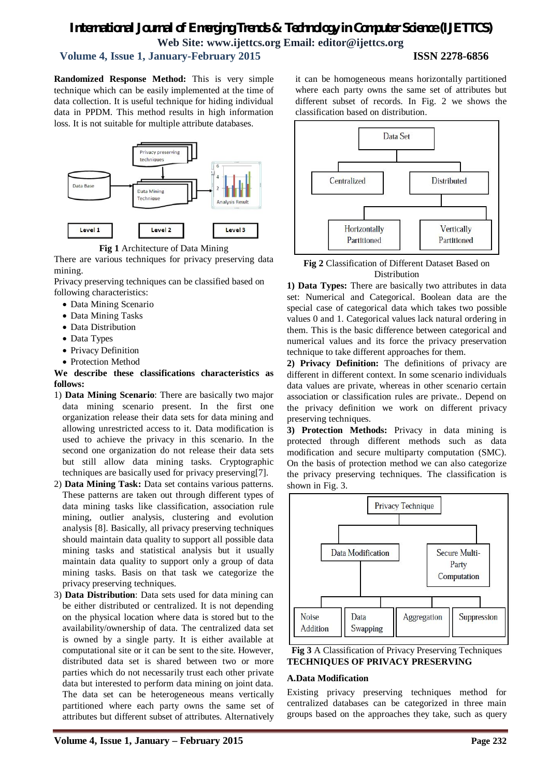## **Volume 4, Issue 1, January-February 2015 ISSN 2278-6856**

**Randomized Response Method:** This is very simple technique which can be easily implemented at the time of data collection. It is useful technique for hiding individual data in PPDM. This method results in high information loss. It is not suitable for multiple attribute databases.





There are various techniques for privacy preserving data mining.

Privacy preserving techniques can be classified based on following characteristics:

- Data Mining Scenario
- Data Mining Tasks
- Data Distribution
- Data Types
- Privacy Definition
- Protection Method

## **We describe these classifications characteristics as follows:**

- 1) **Data Mining Scenario**: There are basically two major data mining scenario present. In the first one organization release their data sets for data mining and allowing unrestricted access to it. Data modification is used to achieve the privacy in this scenario. In the second one organization do not release their data sets but still allow data mining tasks. Cryptographic techniques are basically used for privacy preserving[7].
- 2) **Data Mining Task:** Data set contains various patterns. These patterns are taken out through different types of data mining tasks like classification, association rule mining, outlier analysis, clustering and evolution analysis [8]. Basically, all privacy preserving techniques should maintain data quality to support all possible data mining tasks and statistical analysis but it usually maintain data quality to support only a group of data mining tasks. Basis on that task we categorize the privacy preserving techniques.
- 3) **Data Distribution**: Data sets used for data mining can be either distributed or centralized. It is not depending on the physical location where data is stored but to the availability/ownership of data. The centralized data set is owned by a single party. It is either available at computational site or it can be sent to the site. However, distributed data set is shared between two or more parties which do not necessarily trust each other private data but interested to perform data mining on joint data. The data set can be heterogeneous means vertically partitioned where each party owns the same set of attributes but different subset of attributes. Alternatively

it can be homogeneous means horizontally partitioned where each party owns the same set of attributes but different subset of records. In Fig. 2 we shows the classification based on distribution.



**Fig 2** Classification of Different Dataset Based on Distribution

**1) Data Types:** There are basically two attributes in data set: Numerical and Categorical. Boolean data are the special case of categorical data which takes two possible values 0 and 1. Categorical values lack natural ordering in them. This is the basic difference between categorical and numerical values and its force the privacy preservation technique to take different approaches for them.

**2) Privacy Definition:** The definitions of privacy are different in different context. In some scenario individuals data values are private, whereas in other scenario certain association or classification rules are private.. Depend on the privacy definition we work on different privacy preserving techniques.

**3) Protection Methods:** Privacy in data mining is protected through different methods such as data modification and secure multiparty computation (SMC). On the basis of protection method we can also categorize the privacy preserving techniques. The classification is shown in Fig. 3.





## **A.Data Modification**

Existing privacy preserving techniques method for centralized databases can be categorized in three main groups based on the approaches they take, such as query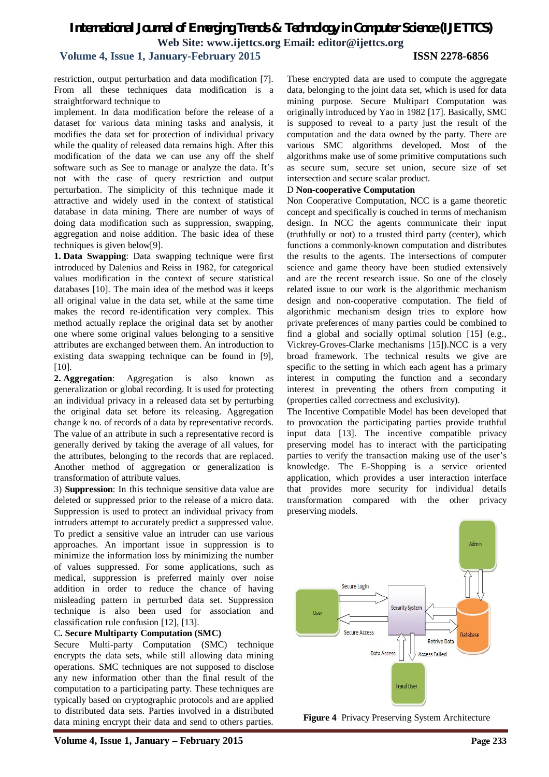## **Volume 4, Issue 1, January-February 2015 ISSN 2278-6856**

restriction, output perturbation and data modification [7]. From all these techniques data modification is a straightforward technique to

implement. In data modification before the release of a dataset for various data mining tasks and analysis, it modifies the data set for protection of individual privacy while the quality of released data remains high. After this modification of the data we can use any off the shelf software such as See to manage or analyze the data. It's not with the case of query restriction and output perturbation. The simplicity of this technique made it attractive and widely used in the context of statistical database in data mining. There are number of ways of doing data modification such as suppression, swapping, aggregation and noise addition. The basic idea of these techniques is given below[9].

**1. Data Swapping**: Data swapping technique were first introduced by Dalenius and Reiss in 1982, for categorical values modification in the context of secure statistical databases [10]. The main idea of the method was it keeps all original value in the data set, while at the same time makes the record re-identification very complex. This method actually replace the original data set by another one where some original values belonging to a sensitive attributes are exchanged between them. An introduction to existing data swapping technique can be found in [9], [10].

**2. Aggregation**: Aggregation is also known as generalization or global recording. It is used for protecting an individual privacy in a released data set by perturbing the original data set before its releasing. Aggregation change k no. of records of a data by representative records. The value of an attribute in such a representative record is generally derived by taking the average of all values, for the attributes, belonging to the records that are replaced. Another method of aggregation or generalization is transformation of attribute values.

3) **Suppression**: In this technique sensitive data value are deleted or suppressed prior to the release of a micro data. Suppression is used to protect an individual privacy from intruders attempt to accurately predict a suppressed value. To predict a sensitive value an intruder can use various approaches. An important issue in suppression is to minimize the information loss by minimizing the number of values suppressed. For some applications, such as medical, suppression is preferred mainly over noise addition in order to reduce the chance of having misleading pattern in perturbed data set. Suppression technique is also been used for association and classification rule confusion [12], [13].

## C**. Secure Multiparty Computation (SMC)**

Secure Multi-party Computation (SMC) technique encrypts the data sets, while still allowing data mining operations. SMC techniques are not supposed to disclose any new information other than the final result of the computation to a participating party. These techniques are typically based on cryptographic protocols and are applied to distributed data sets. Parties involved in a distributed data mining encrypt their data and send to others parties.

These encrypted data are used to compute the aggregate data, belonging to the joint data set, which is used for data mining purpose. Secure Multipart Computation was originally introduced by Yao in 1982 [17]. Basically, SMC is supposed to reveal to a party just the result of the computation and the data owned by the party. There are various SMC algorithms developed. Most of the algorithms make use of some primitive computations such as secure sum, secure set union, secure size of set intersection and secure scalar product.

## D **Non-cooperative Computation**

Non Cooperative Computation, NCC is a game theoretic concept and specifically is couched in terms of mechanism design. In NCC the agents communicate their input (truthfully or not) to a trusted third party (center), which functions a commonly-known computation and distributes the results to the agents. The intersections of computer science and game theory have been studied extensively and are the recent research issue. So one of the closely related issue to our work is the algorithmic mechanism design and non-cooperative computation. The field of algorithmic mechanism design tries to explore how private preferences of many parties could be combined to find a global and socially optimal solution [15] (e.g., Vickrey-Groves-Clarke mechanisms [15]).NCC is a very broad framework. The technical results we give are specific to the setting in which each agent has a primary interest in computing the function and a secondary interest in preventing the others from computing it (properties called correctness and exclusivity).

The Incentive Compatible Model has been developed that to provocation the participating parties provide truthful input data [13]. The incentive compatible privacy preserving model has to interact with the participating parties to verify the transaction making use of the user's knowledge. The E-Shopping is a service oriented application, which provides a user interaction interface that provides more security for individual details transformation compared with the other privacy preserving models.



**Figure 4** Privacy Preserving System Architecture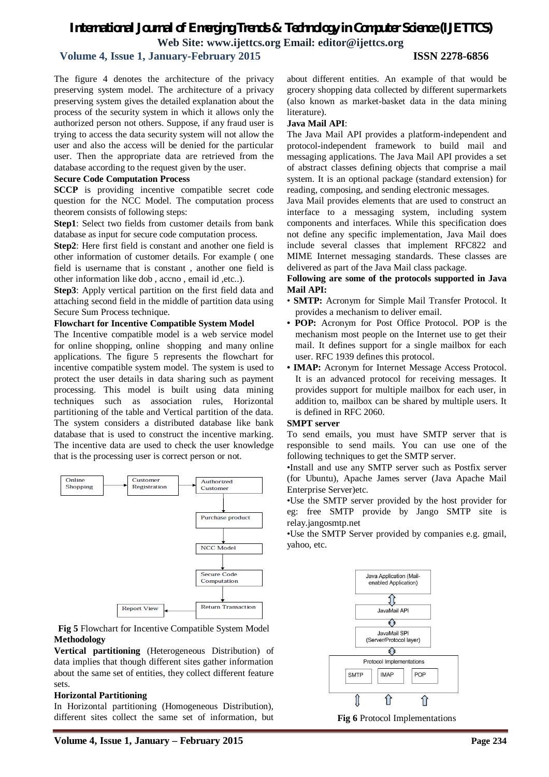## **Volume 4, Issue 1, January-February 2015 ISSN 2278-6856**

The figure 4 denotes the architecture of the privacy preserving system model. The architecture of a privacy preserving system gives the detailed explanation about the process of the security system in which it allows only the authorized person not others. Suppose, if any fraud user is trying to access the data security system will not allow the user and also the access will be denied for the particular user. Then the appropriate data are retrieved from the database according to the request given by the user.

### **Secure Code Computation Process**

**SCCP** is providing incentive compatible secret code question for the NCC Model. The computation process theorem consists of following steps:

**Step1**: Select two fields from customer details from bank database as input for secure code computation process.

**Step2**: Here first field is constant and another one field is other information of customer details. For example ( one field is username that is constant , another one field is other information like dob , accno , email id ,etc..).

**Step3**: Apply vertical partition on the first field data and attaching second field in the middle of partition data using Secure Sum Process technique.

### **Flowchart for Incentive Compatible System Model**

The Incentive compatible model is a web service model for online shopping, online shopping and many online applications. The figure 5 represents the flowchart for incentive compatible system model. The system is used to protect the user details in data sharing such as payment processing. This model is built using data mining techniques such as association rules, Horizontal partitioning of the table and Vertical partition of the data. The system considers a distributed database like bank database that is used to construct the incentive marking. The incentive data are used to check the user knowledge that is the processing user is correct person or not.



## **Fig 5** Flowchart for Incentive Compatible System Model **Methodology**

**Vertical partitioning** (Heterogeneous Distribution) of data implies that though different sites gather information about the same set of entities, they collect different feature sets.

#### **Horizontal Partitioning**

In Horizontal partitioning (Homogeneous Distribution), different sites collect the same set of information, but

about different entities. An example of that would be grocery shopping data collected by different supermarkets (also known as market-basket data in the data mining literature).

### **Java Mail API**:

The Java Mail API provides a platform-independent and protocol-independent framework to build mail and messaging applications. The Java Mail API provides a set of abstract classes defining objects that comprise a mail system. It is an optional package (standard extension) for reading, composing, and sending electronic messages.

Java Mail provides elements that are used to construct an interface to a messaging system, including system components and interfaces. While this specification does not define any specific implementation, Java Mail does include several classes that implement RFC822 and MIME Internet messaging standards. These classes are delivered as part of the Java Mail class package.

## **Following are some of the protocols supported in Java Mail API:**

- **SMTP:** Acronym for Simple Mail Transfer Protocol. It provides a mechanism to deliver email.
- **POP:** Acronym for Post Office Protocol. POP is the mechanism most people on the Internet use to get their mail. It defines support for a single mailbox for each user. RFC 1939 defines this protocol.
- **IMAP:** Acronym for Internet Message Access Protocol. It is an advanced protocol for receiving messages. It provides support for multiple mailbox for each user, in addition to, mailbox can be shared by multiple users. It is defined in RFC 2060.

## **SMPT server**

To send emails, you must have SMTP server that is responsible to send mails. You can use one of the following techniques to get the SMTP server.

•Install and use any SMTP server such as Postfix server (for Ubuntu), Apache James server (Java Apache Mail Enterprise Server)etc.

•Use the SMTP server provided by the host provider for eg: free SMTP provide by Jango SMTP site is relay.jangosmtp.net

•Use the SMTP Server provided by companies e.g. gmail, yahoo, etc.



**Fig 6** Protocol Implementations